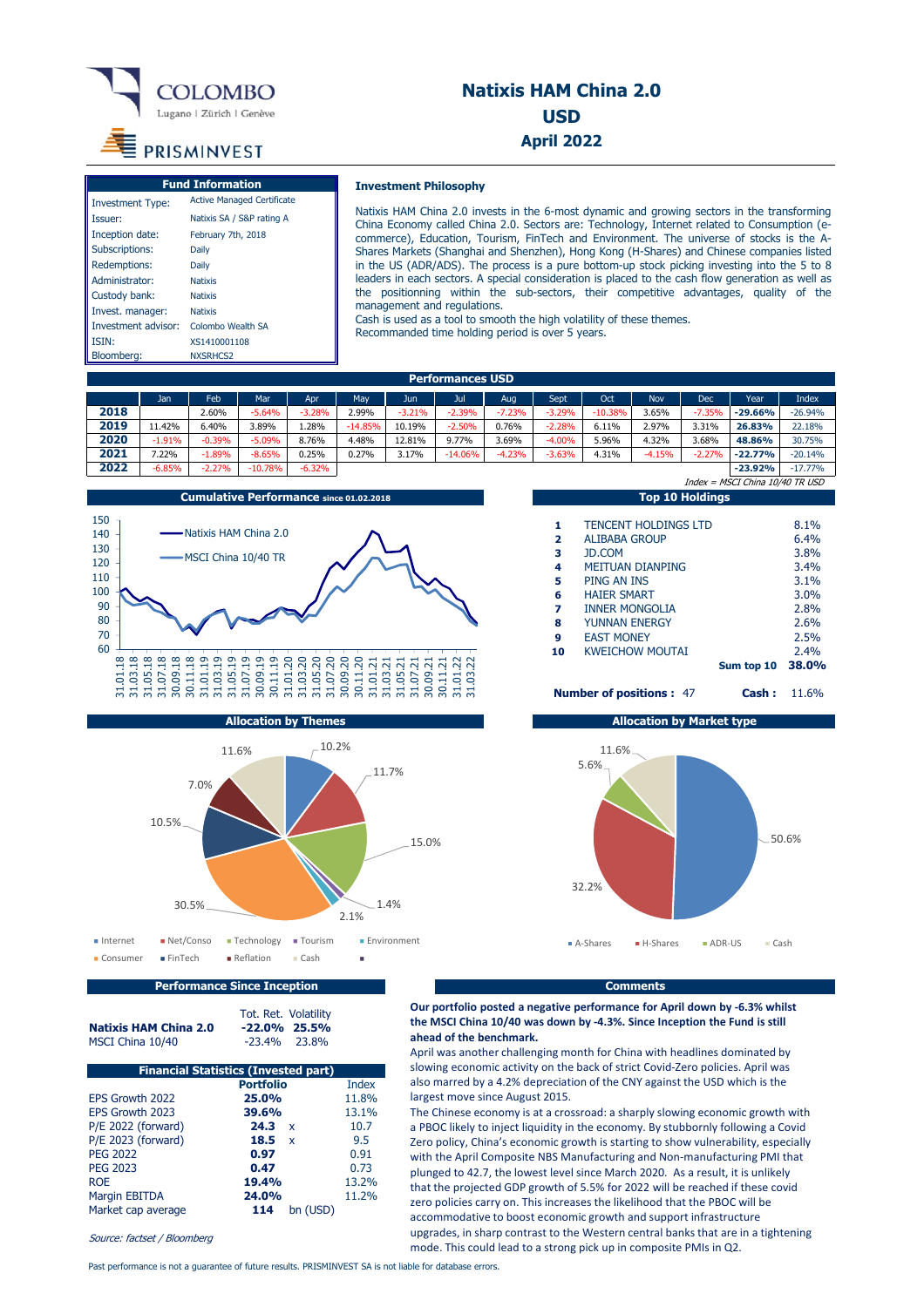

## **Natixis HAM China 2.0 USD April 2022**

# PRISMINVEST

|                         | <b>Fund Information</b>           |
|-------------------------|-----------------------------------|
| <b>Investment Type:</b> | <b>Active Managed Certificate</b> |
| Issuer:                 | Natixis SA / S&P rating A         |
| Inception date:         | February 7th, 2018                |
| Subscriptions:          | Daily                             |
| Redemptions:            | Daily                             |
| Administrator:          | <b>Natixis</b>                    |
| Custody bank:           | <b>Natixis</b>                    |
| Invest. manager:        | <b>Natixis</b>                    |
| Investment advisor:     | Colombo Wealth SA                 |
| ISIN:                   | XS1410001108                      |
| Bloomberg:              | NXSRHCS2                          |

#### **Investment Philosophy**

Natixis HAM China 2.0 invests in the 6-most dynamic and growing sectors in the transforming China Economy called China 2.0. Sectors are: Technology, Internet related to Consumption (ecommerce), Education, Tourism, FinTech and Environment. The universe of stocks is the A-Shares Markets (Shanghai and Shenzhen), Hong Kong (H-Shares) and Chinese companies listed in the US (ADR/ADS). The process is a pure bottom-up stock picking investing into the 5 to 8 leaders in each sectors. A special consideration is placed to the cash flow generation as well as the positionning within the sub-sectors, their competitive advantages, quality of the management and regulations.

Cash is used as a tool to smooth the high volatility of these themes. Recommanded time holding period is over 5 years.

| <b>Performances USD</b> |          |          |           |          |           |          |           |          |          |           |            |          |           |           |
|-------------------------|----------|----------|-----------|----------|-----------|----------|-----------|----------|----------|-----------|------------|----------|-----------|-----------|
|                         | Jan.     | Feb      | Mar       | Apr      | Mav       | Jun      | Jul       | Aug      | Sept     | Oct       | <b>Nov</b> | Dec      | Year      | Index     |
| 2018                    |          | 2.60%    | $-5.64%$  | $-3.28%$ | 2.99%     | $-3.21%$ | $-2.39%$  | $-7.23%$ | $-3.29%$ | $-10.38%$ | 3.65%      | $-7.35%$ | $-29.66%$ | $-26.94%$ |
| 2019                    | 1.42%    | 6.40%    | 3.89%     | 1.28%    | $-14.85%$ | 10.19%   | $-2.50%$  | 0.76%    | $-2.28%$ | 6.11%     | 2.97%      | 3.31%    | 26.83%    | 22.18%    |
| 2020                    | $-1.91%$ | $-0.39%$ | $-5.09%$  | 8.76%    | 4.48%     | 12.81%   | 9.77%     | 3.69%    | $-4.00%$ | 5.96%     | 4.32%      | 3.68%    | 48.86%    | 30.75%    |
| 2021                    | $22\%$   | $-1.89%$ | $-8.65%$  | 0.25%    | 0.27%     | 3.17%    | $-14.06%$ | $-4.23%$ | $-3.63%$ | 4.31%     | $-4.15%$   | $-2.27%$ | $-22.77%$ | $-20.14%$ |
| 2022                    | $-6.85%$ | $-2.27%$ | $-10.78%$ | $-6.32%$ |           |          |           |          |          |           |            |          | $-23.92%$ | $-17.77%$ |



|                                | <b>Top 10 Holdings</b>      |       |
|--------------------------------|-----------------------------|-------|
|                                |                             |       |
| 1                              | <b>TENCENT HOLDINGS LTD</b> | 8.1%  |
| $\overline{2}$                 | ALTBABA GROUP               | 6.4%  |
| 3                              | <b>JD.COM</b>               | 3.8%  |
| 4                              | <b>METTUAN DIANPING</b>     | 3.4%  |
| 5                              | PING AN INS                 | 3.1%  |
| 6                              | <b>HATFR SMART</b>          | 3.0%  |
| 7                              | <b>INNER MONGOLIA</b>       | 2.8%  |
| 8                              | YUNNAN FNFRGY               | 2.6%  |
| 9                              | <b>FAST MONFY</b>           | 2.5%  |
| 10                             | <b>KWEICHOW MOUTAI</b>      | 2.4%  |
|                                | Sum top 10                  | 38.0% |
| <b>Number of positions: 47</b> | 11.6%                       |       |

Index = MSCI China 10/40 TR USD



| <b>nber of positions :</b> 47    | Cash: |
|----------------------------------|-------|
| <b>Allocation by Market type</b> |       |
| $11.6\%$                         |       |



**Performance Since Inception Comments Comments** 

MSCI China 10/40

Tot. Ret. Volatility<br>-22.0% 25.5% **Natixis HAM China 2.0** -22.0% 25.5%<br>MSCI China 10/40 -23.4% 23.8%

| <b>Financial Statistics (Invested part)</b> |                     |              |  |  |  |
|---------------------------------------------|---------------------|--------------|--|--|--|
|                                             | <b>Portfolio</b>    | <b>Index</b> |  |  |  |
| EPS Growth 2022                             | 25.0%               | 11.8%        |  |  |  |
| EPS Growth 2023                             | 39.6%               | 13.1%        |  |  |  |
| P/E 2022 (forward)                          | 24.3<br>X           | 10.7         |  |  |  |
| P/E 2023 (forward)                          | 18.5<br>$\mathbf x$ | 9.5          |  |  |  |
| <b>PEG 2022</b>                             | 0.97                | 0.91         |  |  |  |
| <b>PEG 2023</b>                             | 0.47                | 0.73         |  |  |  |
| <b>ROE</b>                                  | 19.4%               | 13.2%        |  |  |  |
| Margin EBITDA                               | 24.0%               | 11.2%        |  |  |  |
| Market cap average                          | 114                 | bn (USD)     |  |  |  |

Source: factset / Bloomberg

#### **Our portfolio posted a negative performance for April down by ‐6.3% whilst the MSCI China 10/40 was down by ‐4.3%. Since Inception the Fund is still ahead of the benchmark.**

April was another challenging month for China with headlines dominated by slowing economic activity on the back of strict Covid‐Zero policies. April was also marred by a 4.2% depreciation of the CNY against the USD which is the largest move since August 2015.

The Chinese economy is at a crossroad: a sharply slowing economic growth with a PBOC likely to inject liquidity in the economy. By stubbornly following a Covid Zero policy, China's economic growth is starting to show vulnerability, especially with the April Composite NBS Manufacturing and Non-manufacturing PMI that plunged to 42.7, the lowest level since March 2020. As a result, it is unlikely that the projected GDP growth of 5.5% for 2022 will be reached if these covid zero policies carry on. This increases the likelihood that the PBOC will be accommodative to boost economic growth and support infrastructure upgrades, in sharp contrast to the Western central banks that are in a tightening mode. This could lead to a strong pick up in composite PMIs in Q2.

Past performance is not a guarantee of future results. PRISMINVEST SA is not liable for database errors.